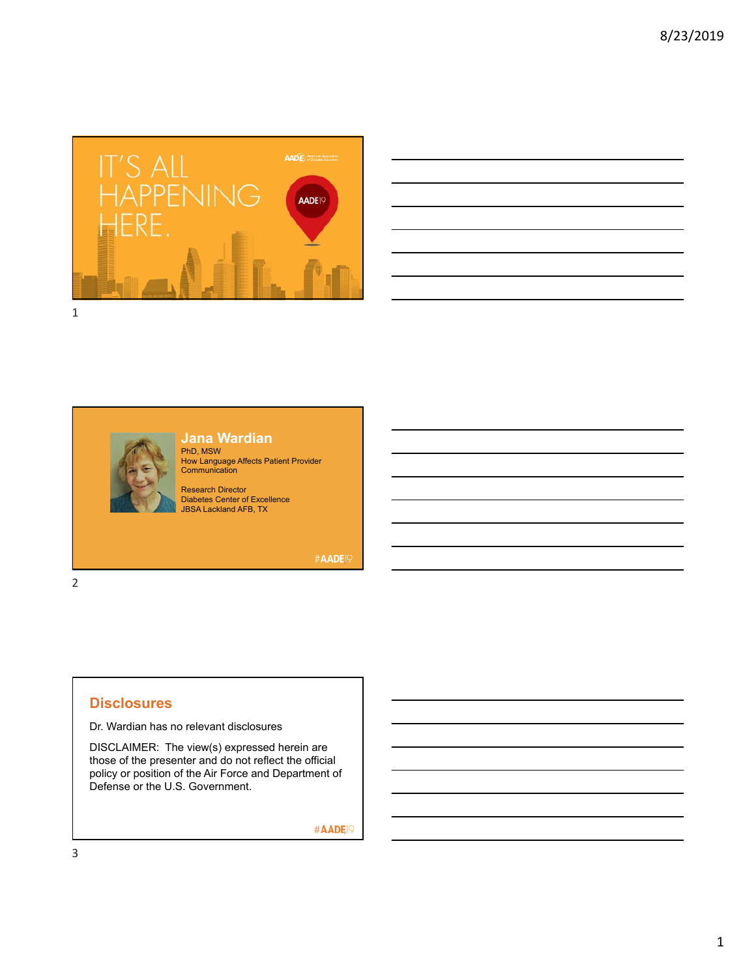

| <u>state</u> and the state of the state of the state of the state of the state of the state of the state of the state of |  |          |
|--------------------------------------------------------------------------------------------------------------------------|--|----------|
|                                                                                                                          |  |          |
| and the control of the control of the control of the control of the control of the control of the control of the         |  |          |
| <u> 1989 - Andrea Santa Andrea Andrea Andrea Andrea Andrea Andrea Andrea Andrea Andrea Andrea Andrea Andrea Andr</u>     |  |          |
| and the control of the control of the control of the control of the control of the control of the control of the         |  |          |
|                                                                                                                          |  |          |
| the control of the control of the control of                                                                             |  | ________ |
|                                                                                                                          |  |          |





PhD, MSW How Language Affects Patient Provider **Communication** 

Research Director Diabetes Center of Excellence JBSA Lackland AFB, TX

#AADE<sup>19</sup>

2

## **Disclosures**

Dr. Wardian has no relevant disclosures

DISCLAIMER: The view(s) expressed herein are those of the presenter and do not reflect the official policy or position of the Air Force and Department of Defense or the U.S. Government.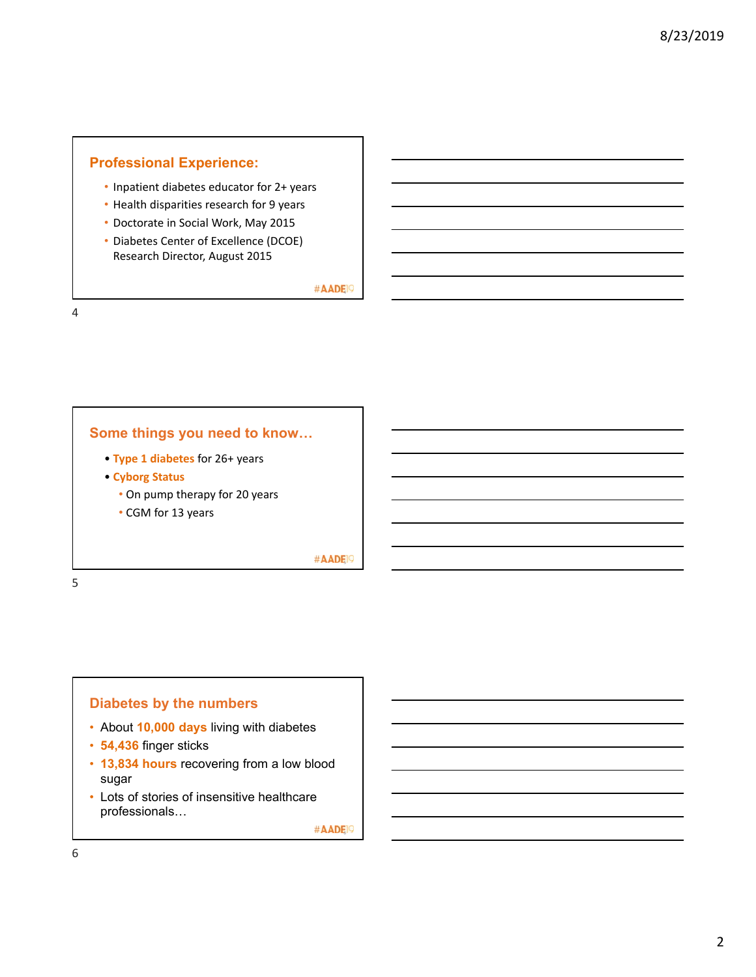# **Professional Experience:**

- Inpatient diabetes educator for 2+ years
- Health disparities research for 9 years
- Doctorate in Social Work, May 2015
- Diabetes Center of Excellence (DCOE) Research Director, August 2015

#AADE<sup>19</sup>

4

### **Some things you need to know…**

- **Type 1 diabetes** for 26+ years
- **Cyborg Status**
	- On pump therapy for 20 years
	- CGM for 13 years

#AADE<sup>19</sup>

5

# **Diabetes by the numbers**

- About **10,000 days** living with diabetes
- **54,436** finger sticks
- **13,834 hours** recovering from a low blood sugar
- Lots of stories of insensitive healthcare professionals…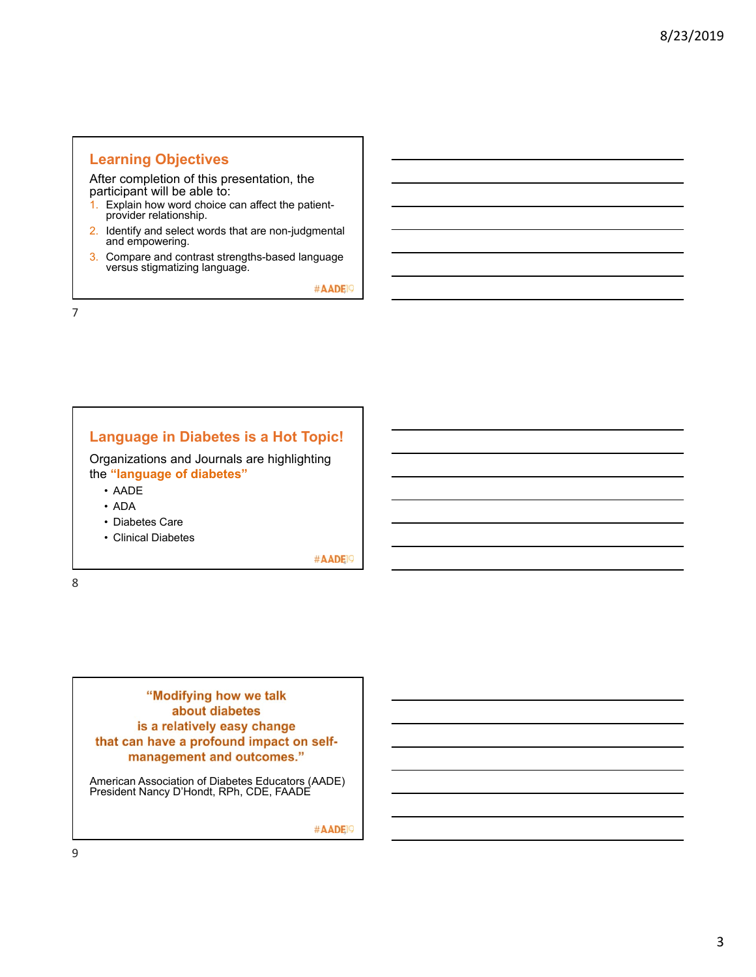## **Learning Objectives**

After completion of this presentation, the participant will be able to:

- 1. Explain how word choice can affect the patientprovider relationship.
- 2. Identify and select words that are non-judgmental and empowering.
- 3. Compare and contrast strengths-based language versus stigmatizing language.

#AADE<sup>O</sup>

7

# **Language in Diabetes is a Hot Topic!**

Organizations and Journals are highlighting the **"language of diabetes"**

- AADE
- ADA
- Diabetes Care
- Clinical Diabetes

#AADE<sup>19</sup>

8

# **"Modifying how we talk about diabetes** is a relatively easy change that can have a profound impact on self-<br>management and outcomes."

American Association of Diabetes Educators (AADE) President Nancy D'Hondt, RPh, CDE, FAADE

#AADE<sup>O</sup>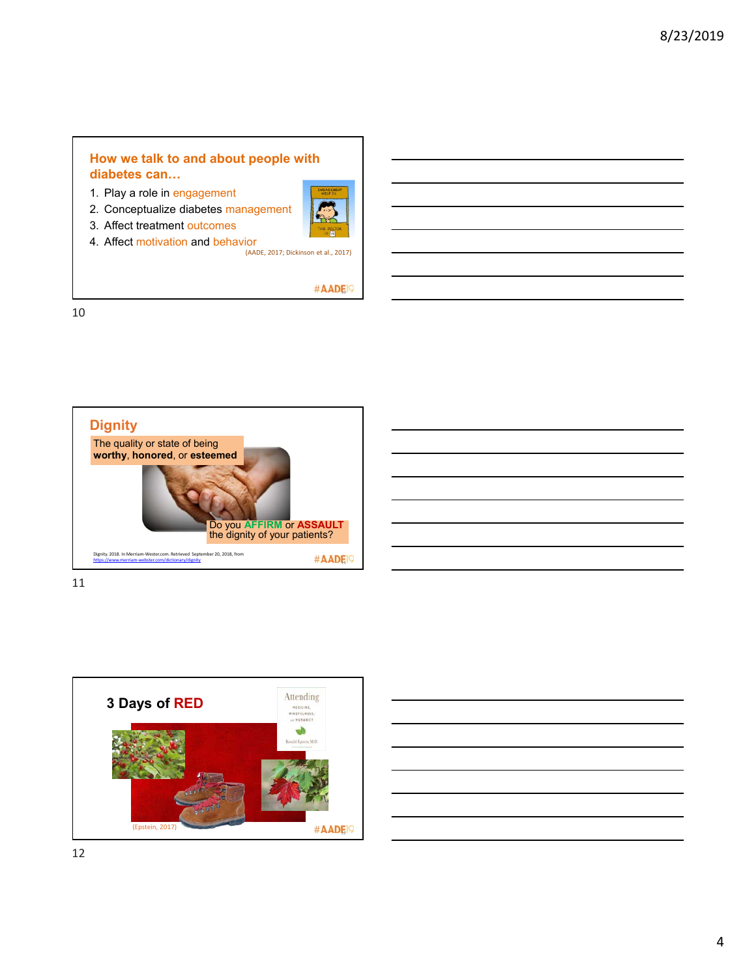# **How we talk to and about people with diabetes can…**

- 1. Play a role in engagement
- 2. Conceptualize diabetes management
- 3. Affect treatment outcomes
- 4. Affect motivation and behavior<br>(AADE, 2017; Dickinson et al., 2017)

#AADE<sup>O</sup>







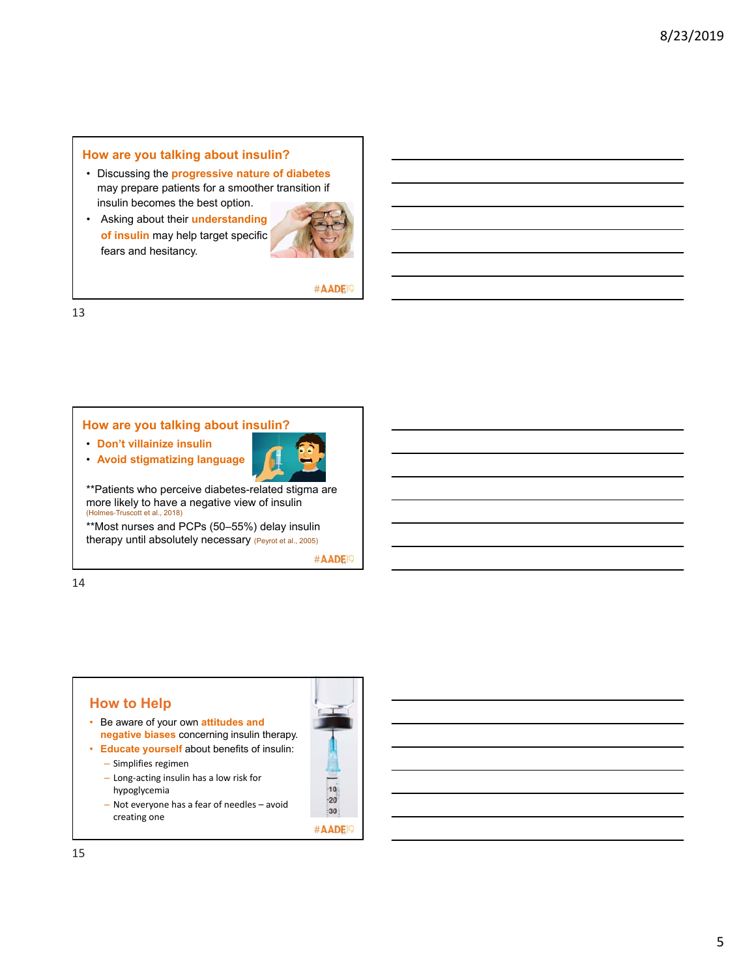### **How are you talking about insulin?**

- Discussing the **progressive nature of diabetes**  may prepare patients for a smoother transition if insulin becomes the best option.
- Asking about their **understanding of insulin** may help target specific fears and hesitancy.



#### #AADE<sup>O</sup>

13

### **How are you talking about insulin?**

- **Don't villainize insulin**
- **Avoid stigmatizing language**



\*\*Patients who perceive diabetes-related stigma are more likely to have a negative view of insulin (Holmes-Truscott et al., 2018)

\*\*Most nurses and PCPs (50–55%) delay insulin therapy until absolutely necessary (Peyrot et al., 2005)

#AADE<sup>19</sup>

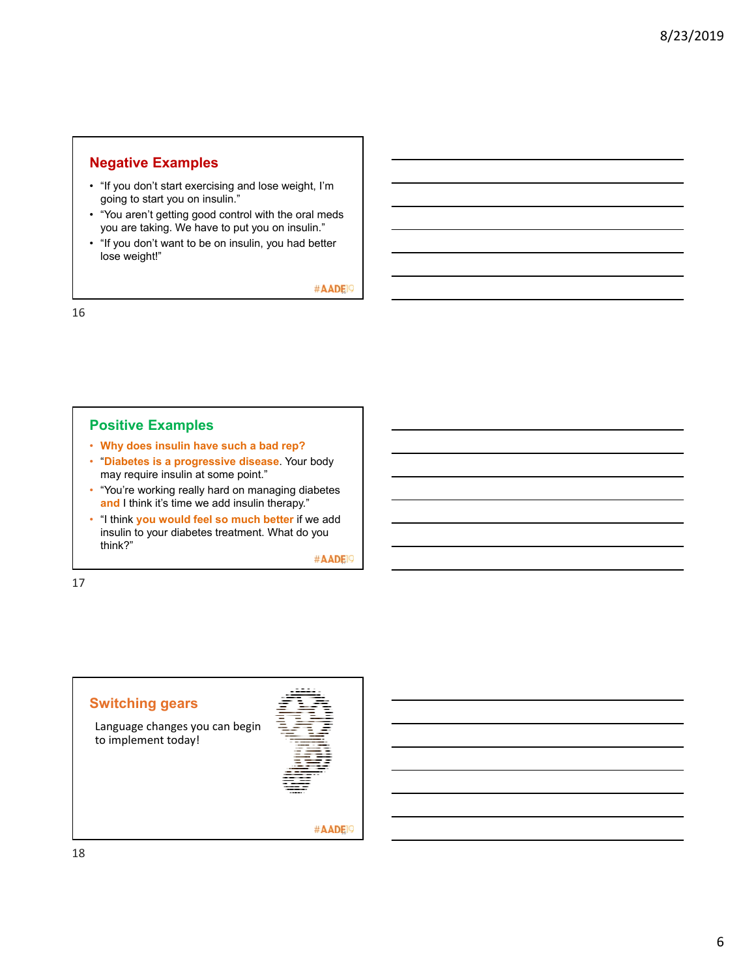# **Negative Examples**

- "If you don't start exercising and lose weight, I'm going to start you on insulin."
- "You aren't getting good control with the oral meds you are taking. We have to put you on insulin."
- "If you don't want to be on insulin, you had better lose weight!"

#AADE<sup>19</sup>

16

## **Positive Examples**

- **Why does insulin have such a bad rep?**
- "**Diabetes is a progressive disease**. Your body may require insulin at some point."
- "You're working really hard on managing diabetes **and** I think it's time we add insulin therapy."
- "I think **you would feel so much better** if we add insulin to your diabetes treatment. What do you think?"

#AADE<sup>19</sup>

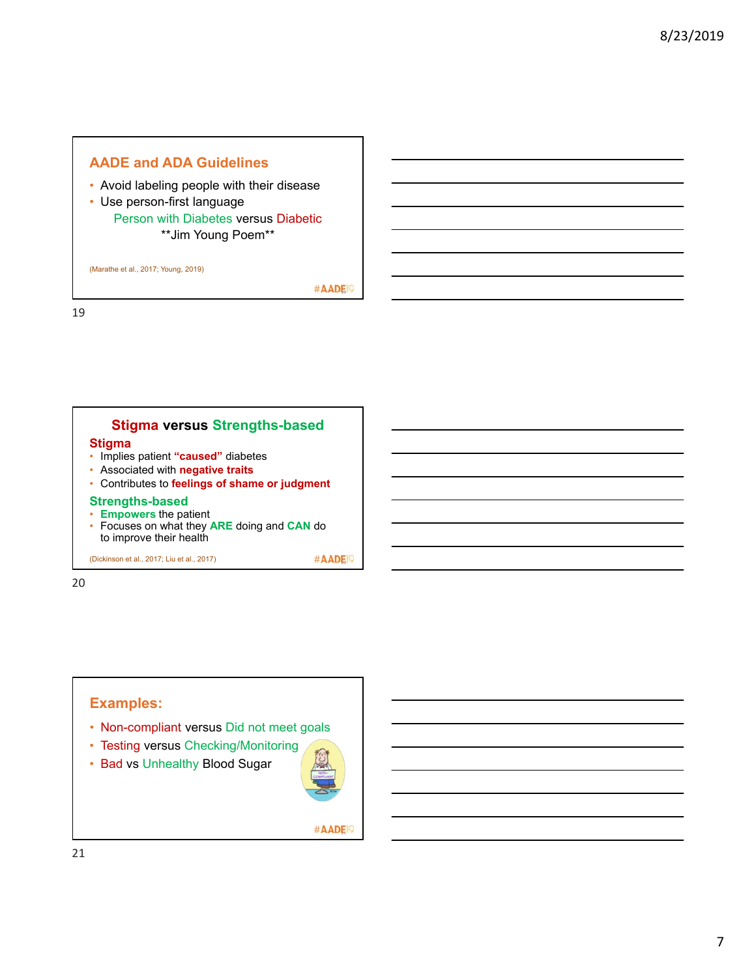# **AADE and ADA Guidelines**

- Avoid labeling people with their disease
- Use person-first language Person with Diabetes versus Diabetic \*\*Jim Young Poem\*\*

(Marathe et al., 2017; Young, 2019)

#AADE<sup>O</sup>

19

#### **Stigma versus Strengths-based Stigma** • Implies patient **"caused"** diabetes • Associated with **negative traits**

- 
- Contributes to **feelings of shame or judgment**

# **Strengths-based**

- **Empowers** the patient
- Focuses on what they **ARE** doing and **CAN** do to improve their health

(Dickinson et al., 2017; Liu et al., 2017)  $\# \mathsf{ADEN}$ 

20

# **Examples:**

- Non-compliant versus Did not meet goals
- Testing versus Checking/Monitoring
- Bad vs Unhealthy Blood Sugar

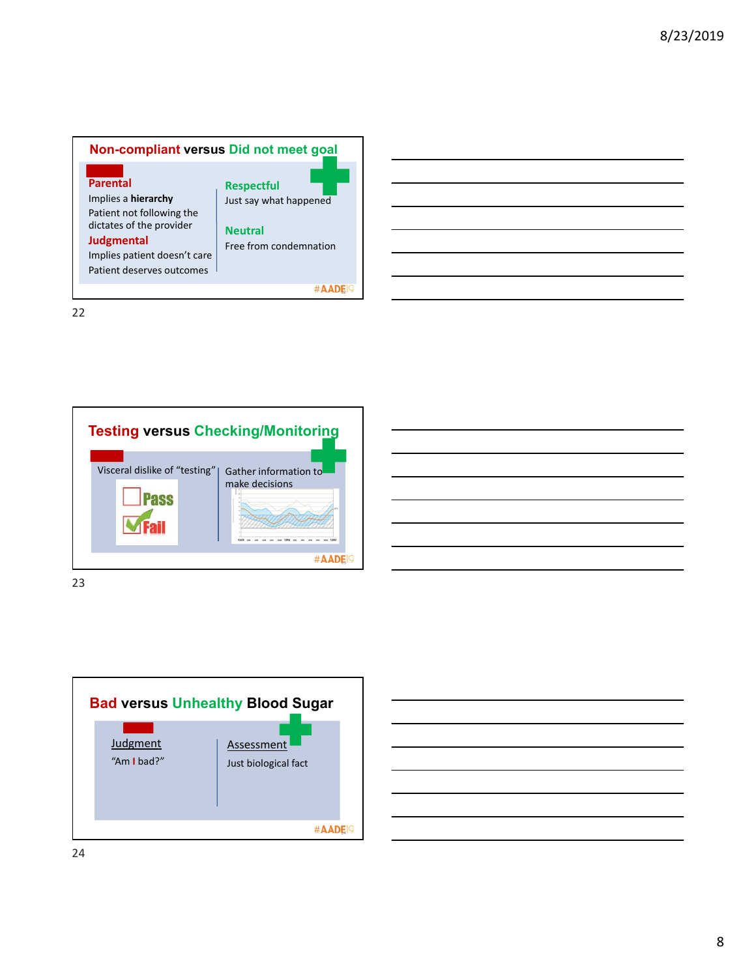

22







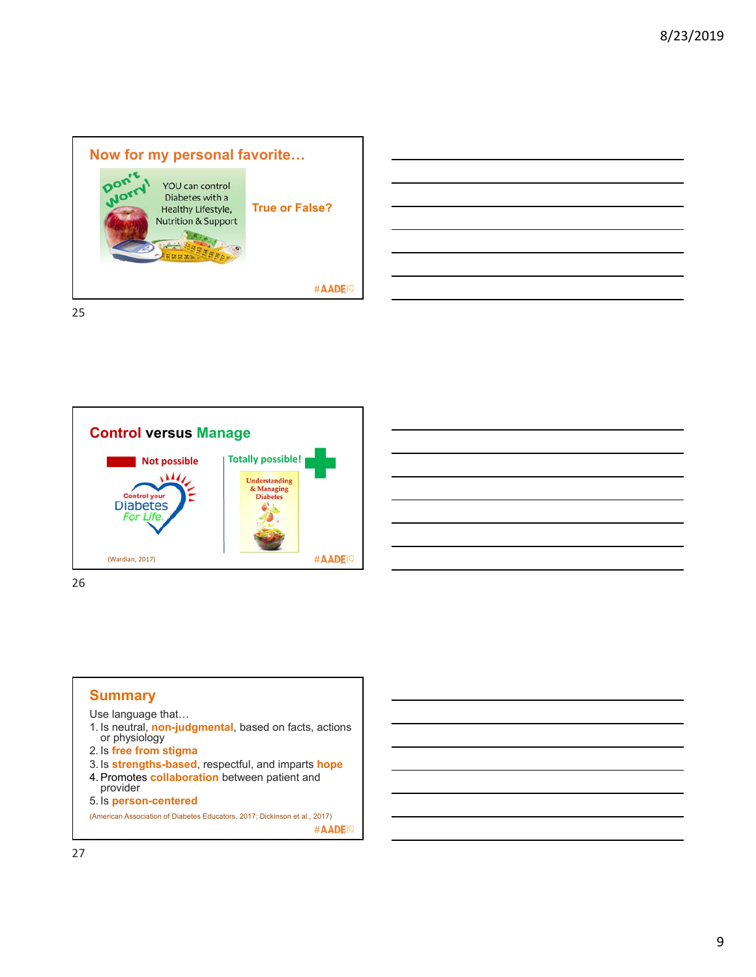

**Control versus Manage Not possible Totally possible!**  $\overline{M}$ **Understanding** & Managing<br>Diabetes Control your **Diabetes** اک For Life. #AADE<sup>19</sup> (Wardian, 2017)

26

### **Summary**

Use language that…

- 1. Is neutral, **non-judgmental**, based on facts, actions or physiology
- 2. Is **free from stigma**
- 3. Is **strengths-based**, respectful, and imparts **hope**
- 4. Promotes **collaboration** between patient and provider
- 5. Is **person-centered**

(American Association of Diabetes Educators, 2017; Dickinson et al., 2017) #AADE<sup>1</sup>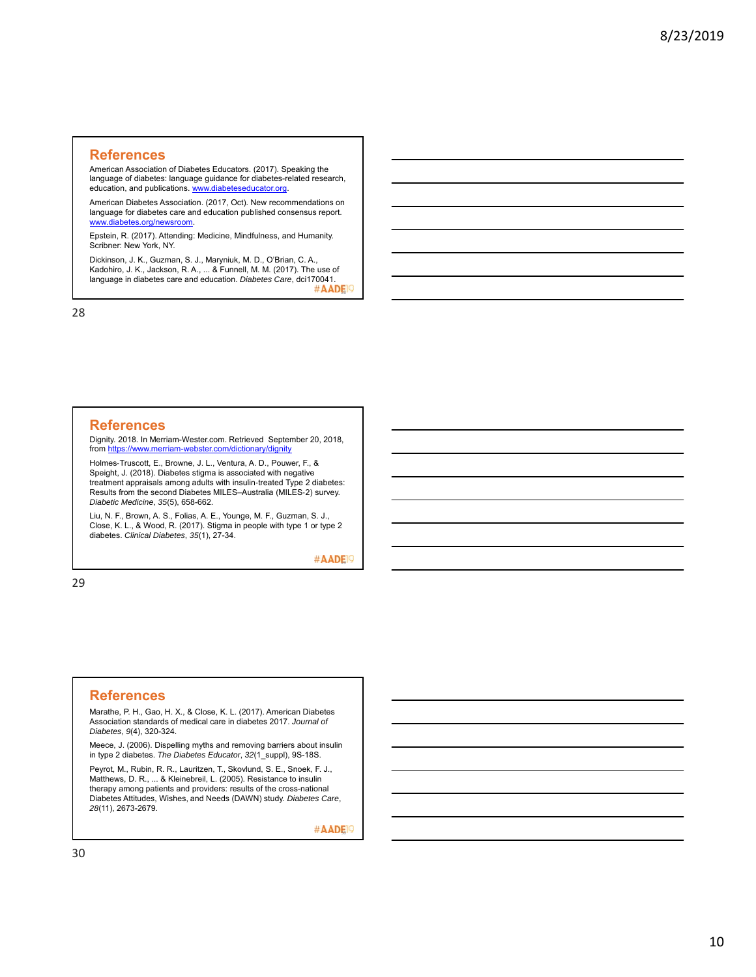#### **References**

American Association of Diabetes Educators. (2017). Speaking the language of diabetes: language guidance for diabetes-related research, education, and publications. www.diabeteseducator.org.

American Diabetes Association. (2017, Oct). New recommendations on language for diabetes care and education published consensus report. www.diabetes.org/newsroom.

Epstein, R. (2017). Attending: Medicine, Mindfulness, and Humanity. Scribner: New York, NY.

Dickinson, J. K., Guzman, S. J., Maryniuk, M. D., O'Brian, C. A., Kadohiro, J. K., Jackson, R. A., ... & Funnell, M. M. (2017). The use of language in diabetes care and education. *Diabetes Care*, dci170041. #AADE<sup>9</sup>

28

#### **References**

Dignity. 2018. In Merriam-Wester.com. Retrieved September 20, 2018, from https://www.merriam-webster.com/dictionary/dignity

Holmes-Truscott, E., Browne, J. L., Ventura, A. D., Pouwer, F., & Speight, J. (2018). Diabetes stigma is associated with negative treatment appraisals among adults with insulin-treated Type 2 diabetes: Results from the second Diabetes MILES–Australia (MILES-2) survey. *Diabetic Medicine*, *35*(5), 658-662.

Liu, N. F., Brown, A. S., Folias, A. E., Younge, M. F., Guzman, S. J., Close, K. L., & Wood, R. (2017). Stigma in people with type 1 or type 2 diabetes. *Clinical Diabetes*, *35*(1), 27-34.

#AADE<sup>1</sup>

29

#### **References**

Marathe, P. H., Gao, H. X., & Close, K. L. (2017). American Diabetes Association standards of medical care in diabetes 2017. *Journal of Diabetes*, *9*(4), 320-324.

Meece, J. (2006). Dispelling myths and removing barriers about insulin in type 2 diabetes. *The Diabetes Educator*, *32*(1\_suppl), 9S-18S.

Peyrot, M., Rubin, R. R., Lauritzen, T., Skovlund, S. E., Snoek, F. J., Matthews, D. R., ... & Kleinebreil, L. (2005). Resistance to insulin therapy among patients and providers: results of the cross-national Diabetes Attitudes, Wishes, and Needs (DAWN) study. *Diabetes Care*, *28*(11), 2673-2679.